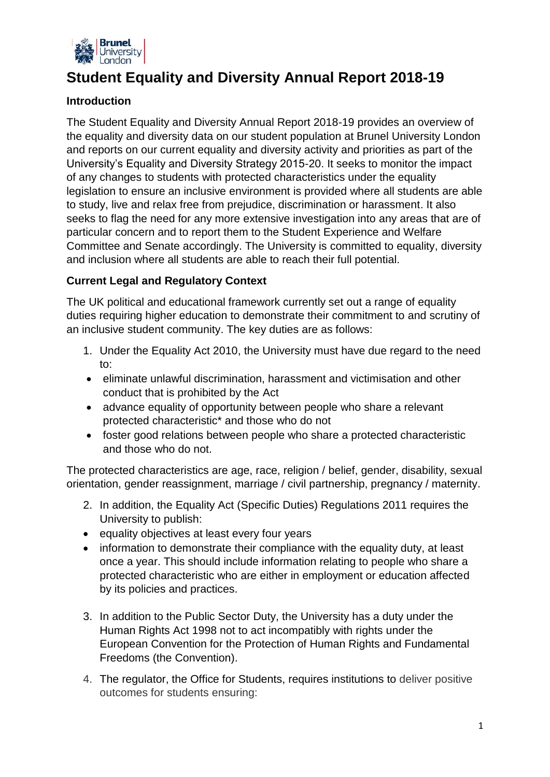

# **Student Equality and Diversity Annual Report 2018-19**

# **Introduction**

The Student Equality and Diversity Annual Report 2018-19 provides an overview of the equality and diversity data on our student population at Brunel University London and reports on our current equality and diversity activity and priorities as part of the University's Equality and Diversity Strategy 2015-20. It seeks to monitor the impact of any changes to students with protected characteristics under the equality legislation to ensure an inclusive environment is provided where all students are able to study, live and relax free from prejudice, discrimination or harassment. It also seeks to flag the need for any more extensive investigation into any areas that are of particular concern and to report them to the Student Experience and Welfare Committee and Senate accordingly. The University is committed to equality, diversity and inclusion where all students are able to reach their full potential.

# **Current Legal and Regulatory Context**

The UK political and educational framework currently set out a range of equality duties requiring higher education to demonstrate their commitment to and scrutiny of an inclusive student community. The key duties are as follows:

- 1. Under the Equality Act 2010, the University must have due regard to the need to:
- eliminate unlawful discrimination, harassment and victimisation and other conduct that is prohibited by the Act
- advance equality of opportunity between people who share a relevant protected characteristic\* and those who do not
- foster good relations between people who share a protected characteristic and those who do not.

The protected characteristics are age, race, religion / belief, gender, disability, sexual orientation, gender reassignment, marriage / civil partnership, pregnancy / maternity.

- 2. In addition, the Equality Act (Specific Duties) Regulations 2011 requires the University to publish:
- equality objectives at least every four years
- information to demonstrate their compliance with the equality duty, at least once a year. This should include information relating to people who share a protected characteristic who are either in employment or education affected by its policies and practices.
- 3. In addition to the Public Sector Duty, the University has a duty under the Human Rights Act 1998 not to act incompatibly with rights under the European Convention for the Protection of Human Rights and Fundamental Freedoms (the Convention).
- 4. The regulator, the Office for Students, requires institutions to deliver positive outcomes for students ensuring: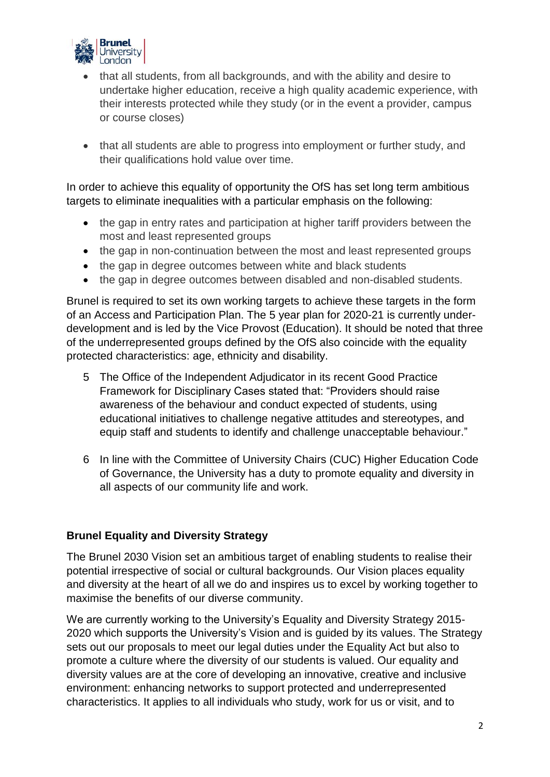

- that all students, from all backgrounds, and with the ability and desire to undertake higher education, receive a high quality academic experience, with their interests protected while they study (or in the event a provider, campus or course closes)
- that all students are able to progress into employment or further study, and their qualifications hold value over time.

In order to achieve this equality of opportunity the OfS has set long term ambitious targets to eliminate inequalities with a particular emphasis on the following:

- the gap in entry rates and participation at higher tariff providers between the most and least represented groups
- the gap in non-continuation between the most and least represented groups
- the gap in degree outcomes between white and black students
- the gap in degree outcomes between disabled and non-disabled students.

Brunel is required to set its own working targets to achieve these targets in the form of an Access and Participation Plan. The 5 year plan for 2020-21 is currently underdevelopment and is led by the Vice Provost (Education). It should be noted that three of the underrepresented groups defined by the OfS also coincide with the equality protected characteristics: age, ethnicity and disability.

- 5 The Office of the Independent Adjudicator in its recent Good Practice Framework for Disciplinary Cases stated that: "Providers should raise awareness of the behaviour and conduct expected of students, using educational initiatives to challenge negative attitudes and stereotypes, and equip staff and students to identify and challenge unacceptable behaviour."
- 6 In line with the Committee of University Chairs (CUC) Higher Education Code of Governance, the University has a duty to promote equality and diversity in all aspects of our community life and work.

## **Brunel Equality and Diversity Strategy**

The Brunel 2030 Vision set an ambitious target of enabling students to realise their potential irrespective of social or cultural backgrounds. Our Vision places equality and diversity at the heart of all we do and inspires us to excel by working together to maximise the benefits of our diverse community.

We are currently working to the University's Equality and Diversity Strategy 2015- 2020 which supports the University's Vision and is guided by its values. The Strategy sets out our proposals to meet our legal duties under the Equality Act but also to promote a culture where the diversity of our students is valued. Our equality and diversity values are at the core of developing an innovative, creative and inclusive environment: enhancing networks to support protected and underrepresented characteristics. It applies to all individuals who study, work for us or visit, and to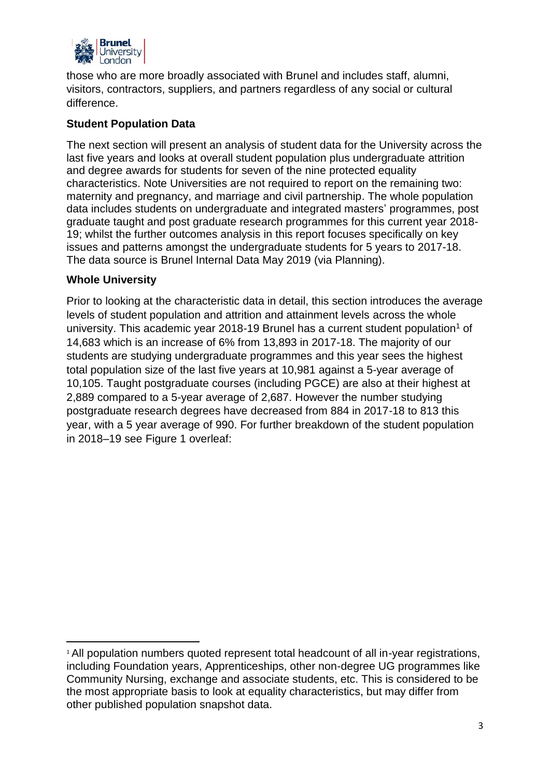

those who are more broadly associated with Brunel and includes staff, alumni, visitors, contractors, suppliers, and partners regardless of any social or cultural difference.

## **Student Population Data**

The next section will present an analysis of student data for the University across the last five years and looks at overall student population plus undergraduate attrition and degree awards for students for seven of the nine protected equality characteristics. Note Universities are not required to report on the remaining two: maternity and pregnancy, and marriage and civil partnership. The whole population data includes students on undergraduate and integrated masters' programmes, post graduate taught and post graduate research programmes for this current year 2018- 19; whilst the further outcomes analysis in this report focuses specifically on key issues and patterns amongst the undergraduate students for 5 years to 2017-18. The data source is Brunel Internal Data May 2019 (via Planning).

#### **Whole University**

1

Prior to looking at the characteristic data in detail, this section introduces the average levels of student population and attrition and attainment levels across the whole university. This academic year 2018-19 Brunel has a current student population<sup>1</sup> of 14,683 which is an increase of 6% from 13,893 in 2017-18. The majority of our students are studying undergraduate programmes and this year sees the highest total population size of the last five years at 10,981 against a 5-year average of 10,105. Taught postgraduate courses (including PGCE) are also at their highest at 2,889 compared to a 5-year average of 2,687. However the number studying postgraduate research degrees have decreased from 884 in 2017-18 to 813 this year, with a 5 year average of 990. For further breakdown of the student population in 2018–19 see Figure 1 overleaf:

<sup>&</sup>lt;sup>1</sup> All population numbers quoted represent total headcount of all in-year registrations, including Foundation years, Apprenticeships, other non-degree UG programmes like Community Nursing, exchange and associate students, etc. This is considered to be the most appropriate basis to look at equality characteristics, but may differ from other published population snapshot data.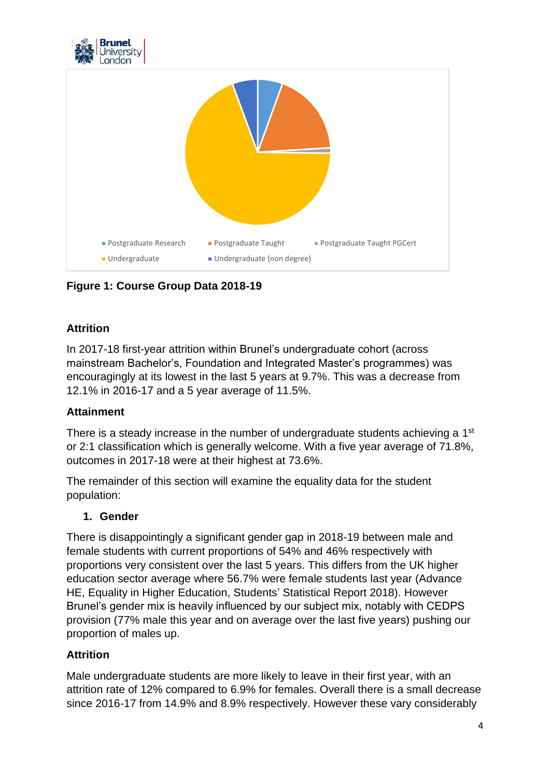



**Figure 1: Course Group Data 2018-19**

# **Attrition**

In 2017-18 first-year attrition within Brunel's undergraduate cohort (across mainstream Bachelor's, Foundation and Integrated Master's programmes) was encouragingly at its lowest in the last 5 years at 9.7%. This was a decrease from 12.1% in 2016-17 and a 5 year average of 11.5%.

# **Attainment**

There is a steady increase in the number of undergraduate students achieving a 1<sup>st</sup> or 2:1 classification which is generally welcome. With a five year average of 71.8%, outcomes in 2017-18 were at their highest at 73.6%.

The remainder of this section will examine the equality data for the student population:

## **1. Gender**

There is disappointingly a significant gender gap in 2018-19 between male and female students with current proportions of 54% and 46% respectively with proportions very consistent over the last 5 years. This differs from the UK higher education sector average where 56.7% were female students last year (Advance HE, Equality in Higher Education, Students' Statistical Report 2018). However Brunel's gender mix is heavily influenced by our subject mix, notably with CEDPS provision (77% male this year and on average over the last five years) pushing our proportion of males up.

# **Attrition**

Male undergraduate students are more likely to leave in their first year, with an attrition rate of 12% compared to 6.9% for females. Overall there is a small decrease since 2016-17 from 14.9% and 8.9% respectively. However these vary considerably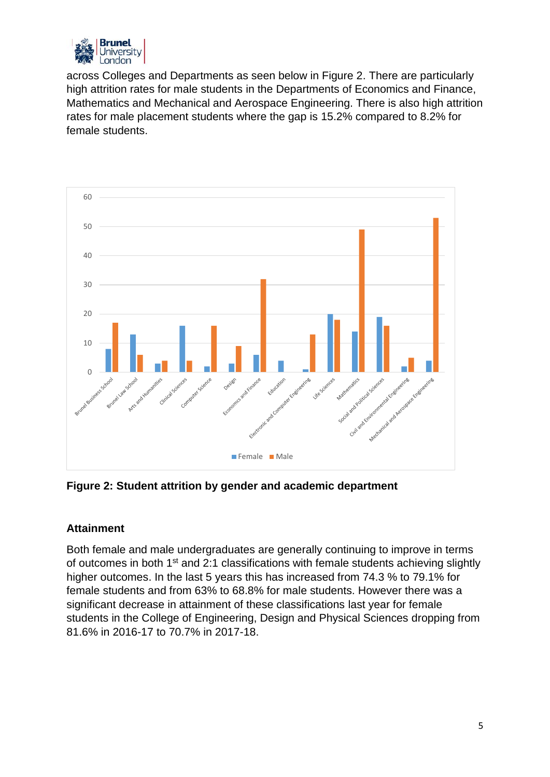

across Colleges and Departments as seen below in Figure 2. There are particularly high attrition rates for male students in the Departments of Economics and Finance, Mathematics and Mechanical and Aerospace Engineering. There is also high attrition rates for male placement students where the gap is 15.2% compared to 8.2% for female students.



**Figure 2: Student attrition by gender and academic department**

## **Attainment**

Both female and male undergraduates are generally continuing to improve in terms of outcomes in both 1<sup>st</sup> and 2:1 classifications with female students achieving slightly higher outcomes. In the last 5 years this has increased from 74.3 % to 79.1% for female students and from 63% to 68.8% for male students. However there was a significant decrease in attainment of these classifications last year for female students in the College of Engineering, Design and Physical Sciences dropping from 81.6% in 2016-17 to 70.7% in 2017-18.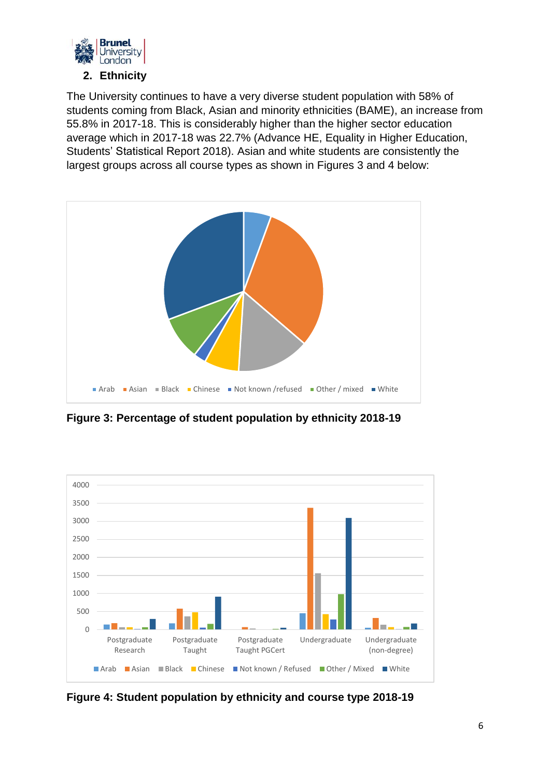

The University continues to have a very diverse student population with 58% of students coming from Black, Asian and minority ethnicities (BAME), an increase from 55.8% in 2017-18. This is considerably higher than the higher sector education average which in 2017-18 was 22.7% (Advance HE, Equality in Higher Education, Students' Statistical Report 2018). Asian and white students are consistently the largest groups across all course types as shown in Figures 3 and 4 below:



**Figure 3: Percentage of student population by ethnicity 2018-19**



**Figure 4: Student population by ethnicity and course type 2018-19**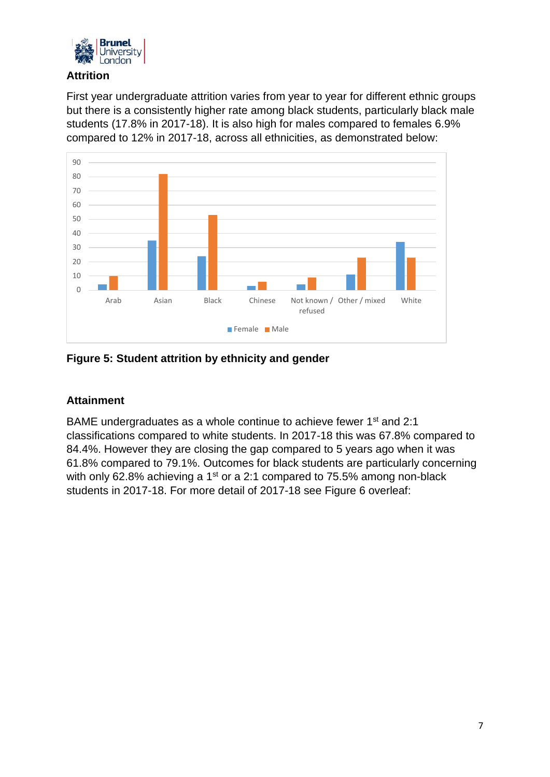

#### **Attrition**

First year undergraduate attrition varies from year to year for different ethnic groups but there is a consistently higher rate among black students, particularly black male students (17.8% in 2017-18). It is also high for males compared to females 6.9% compared to 12% in 2017-18, across all ethnicities, as demonstrated below:



## **Figure 5: Student attrition by ethnicity and gender**

## **Attainment**

BAME undergraduates as a whole continue to achieve fewer 1<sup>st</sup> and 2:1 classifications compared to white students. In 2017-18 this was 67.8% compared to 84.4%. However they are closing the gap compared to 5 years ago when it was 61.8% compared to 79.1%. Outcomes for black students are particularly concerning with only 62.8% achieving a 1<sup>st</sup> or a 2:1 compared to 75.5% among non-black students in 2017-18. For more detail of 2017-18 see Figure 6 overleaf: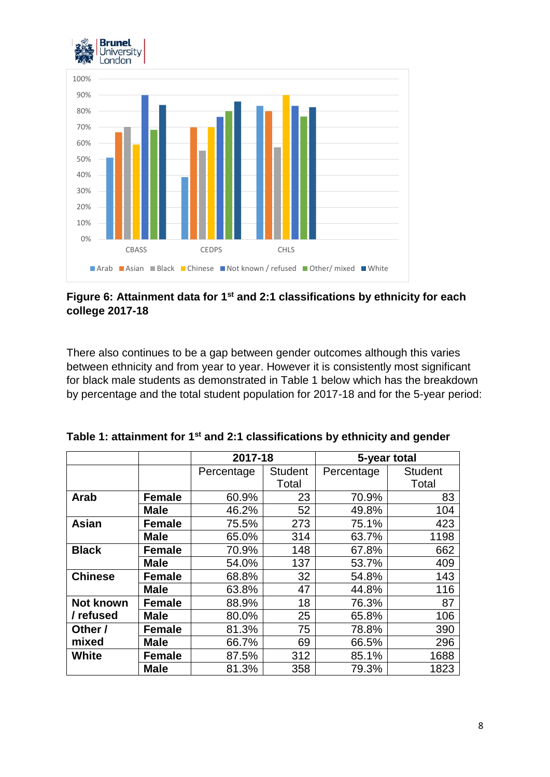



## **Figure 6: Attainment data for 1st and 2:1 classifications by ethnicity for each college 2017-18**

There also continues to be a gap between gender outcomes although this varies between ethnicity and from year to year. However it is consistently most significant for black male students as demonstrated in Table 1 below which has the breakdown by percentage and the total student population for 2017-18 and for the 5-year period:

|                |               | 2017-18    |                | 5-year total |                |  |  |
|----------------|---------------|------------|----------------|--------------|----------------|--|--|
|                |               | Percentage | <b>Student</b> | Percentage   | <b>Student</b> |  |  |
|                |               |            | Total          |              | Total          |  |  |
| Arab           | <b>Female</b> | 60.9%      | 23             | 70.9%        | 83             |  |  |
|                | <b>Male</b>   | 46.2%      | 52             | 49.8%        | 104            |  |  |
| <b>Asian</b>   | <b>Female</b> | 75.5%      | 273            | 75.1%        | 423            |  |  |
|                | <b>Male</b>   | 65.0%      | 314            | 63.7%        | 1198           |  |  |
| <b>Black</b>   | <b>Female</b> | 70.9%      | 148            | 67.8%        | 662            |  |  |
|                | <b>Male</b>   | 54.0%      | 137            | 53.7%        | 409            |  |  |
| <b>Chinese</b> | <b>Female</b> | 68.8%      | 32             | 54.8%        | 143            |  |  |
|                | <b>Male</b>   | 63.8%      | 47             | 44.8%        | 116            |  |  |
| Not known      | <b>Female</b> | 88.9%      | 18             | 76.3%        | 87             |  |  |
| / refused      | <b>Male</b>   | 80.0%      | 25             | 65.8%        | 106            |  |  |
| Other /        | <b>Female</b> | 81.3%      | 75             | 78.8%        | 390            |  |  |
| mixed          | <b>Male</b>   | 66.7%      | 69             | 66.5%        | 296            |  |  |
| White          | <b>Female</b> | 87.5%      | 312            | 85.1%        | 1688           |  |  |
|                | <b>Male</b>   | 81.3%      | 358            | 79.3%        | 1823           |  |  |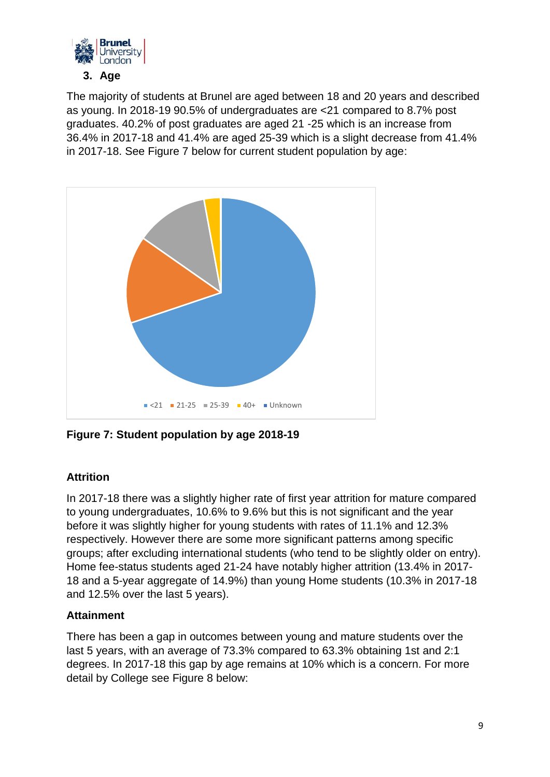

The majority of students at Brunel are aged between 18 and 20 years and described as young. In 2018-19 90.5% of undergraduates are <21 compared to 8.7% post graduates. 40.2% of post graduates are aged 21 -25 which is an increase from 36.4% in 2017-18 and 41.4% are aged 25-39 which is a slight decrease from 41.4% in 2017-18. See Figure 7 below for current student population by age:



**Figure 7: Student population by age 2018-19**

# **Attrition**

In 2017-18 there was a slightly higher rate of first year attrition for mature compared to young undergraduates, 10.6% to 9.6% but this is not significant and the year before it was slightly higher for young students with rates of 11.1% and 12.3% respectively. However there are some more significant patterns among specific groups; after excluding international students (who tend to be slightly older on entry). Home fee-status students aged 21-24 have notably higher attrition (13.4% in 2017- 18 and a 5-year aggregate of 14.9%) than young Home students (10.3% in 2017-18 and 12.5% over the last 5 years).

# **Attainment**

There has been a gap in outcomes between young and mature students over the last 5 years, with an average of 73.3% compared to 63.3% obtaining 1st and 2:1 degrees. In 2017-18 this gap by age remains at 10% which is a concern. For more detail by College see Figure 8 below: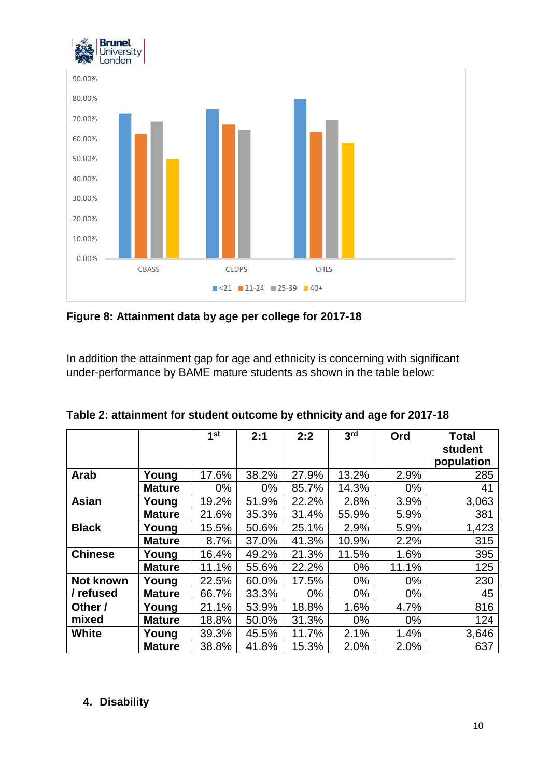



**Figure 8: Attainment data by age per college for 2017-18**

In addition the attainment gap for age and ethnicity is concerning with significant under-performance by BAME mature students as shown in the table below:

|                |               | 1st   | 2:1   | 2:2   | 3 <sup>rd</sup> | Ord   | <b>Total</b><br>student |
|----------------|---------------|-------|-------|-------|-----------------|-------|-------------------------|
|                |               |       |       |       |                 |       | population              |
| Arab           | Young         | 17.6% | 38.2% | 27.9% | 13.2%           | 2.9%  | 285                     |
|                | <b>Mature</b> | $0\%$ | $0\%$ | 85.7% | 14.3%           | $0\%$ | 41                      |
| <b>Asian</b>   | Young         | 19.2% | 51.9% | 22.2% | 2.8%            | 3.9%  | 3,063                   |
|                | <b>Mature</b> | 21.6% | 35.3% | 31.4% | 55.9%           | 5.9%  | 381                     |
| <b>Black</b>   | Young         | 15.5% | 50.6% | 25.1% | 2.9%            | 5.9%  | 1,423                   |
|                | <b>Mature</b> | 8.7%  | 37.0% | 41.3% | 10.9%           | 2.2%  | 315                     |
| <b>Chinese</b> | Young         | 16.4% | 49.2% | 21.3% | 11.5%           | 1.6%  | 395                     |
|                | <b>Mature</b> | 11.1% | 55.6% | 22.2% | $0\%$           | 11.1% | 125                     |
| Not known      | Young         | 22.5% | 60.0% | 17.5% | $0\%$           | $0\%$ | 230                     |
| / refused      | <b>Mature</b> | 66.7% | 33.3% | $0\%$ | $0\%$           | $0\%$ | 45                      |
| Other /        | Young         | 21.1% | 53.9% | 18.8% | 1.6%            | 4.7%  | 816                     |
| mixed          | <b>Mature</b> | 18.8% | 50.0% | 31.3% | $0\%$           | $0\%$ | 124                     |
| <b>White</b>   | Young         | 39.3% | 45.5% | 11.7% | 2.1%            | 1.4%  | 3,646                   |
|                | <b>Mature</b> | 38.8% | 41.8% | 15.3% | 2.0%            | 2.0%  | 637                     |

**Table 2: attainment for student outcome by ethnicity and age for 2017-18**

# **4. Disability**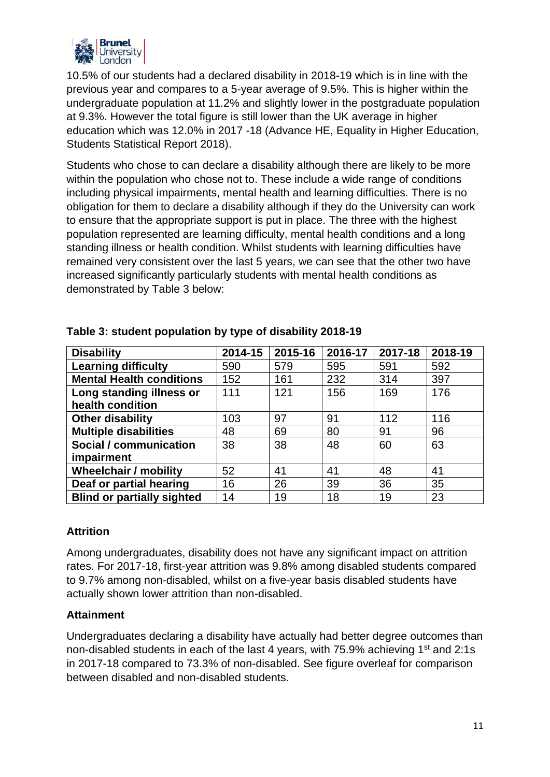

10.5% of our students had a declared disability in 2018-19 which is in line with the previous year and compares to a 5-year average of 9.5%. This is higher within the undergraduate population at 11.2% and slightly lower in the postgraduate population at 9.3%. However the total figure is still lower than the UK average in higher education which was 12.0% in 2017 -18 (Advance HE, Equality in Higher Education, Students Statistical Report 2018).

Students who chose to can declare a disability although there are likely to be more within the population who chose not to. These include a wide range of conditions including physical impairments, mental health and learning difficulties. There is no obligation for them to declare a disability although if they do the University can work to ensure that the appropriate support is put in place. The three with the highest population represented are learning difficulty, mental health conditions and a long standing illness or health condition. Whilst students with learning difficulties have remained very consistent over the last 5 years, we can see that the other two have increased significantly particularly students with mental health conditions as demonstrated by Table 3 below:

| <b>Disability</b>                 | 2014-15 | 2015-16 | 2016-17 | 2017-18 | 2018-19 |
|-----------------------------------|---------|---------|---------|---------|---------|
| <b>Learning difficulty</b>        | 590     | 579     | 595     | 591     | 592     |
| <b>Mental Health conditions</b>   | 152     | 161     | 232     | 314     | 397     |
| Long standing illness or          | 111     | 121     | 156     | 169     | 176     |
| health condition                  |         |         |         |         |         |
| <b>Other disability</b>           | 103     | 97      | 91      | 112     | 116     |
| <b>Multiple disabilities</b>      | 48      | 69      | 80      | 91      | 96      |
| Social / communication            | 38      | 38      | 48      | 60      | 63      |
| impairment                        |         |         |         |         |         |
| <b>Wheelchair / mobility</b>      | 52      | 41      | 41      | 48      | 41      |
| Deaf or partial hearing           | 16      | 26      | 39      | 36      | 35      |
| <b>Blind or partially sighted</b> | 14      | 19      | 18      | 19      | 23      |

## **Table 3: student population by type of disability 2018-19**

## **Attrition**

Among undergraduates, disability does not have any significant impact on attrition rates. For 2017-18, first-year attrition was 9.8% among disabled students compared to 9.7% among non-disabled, whilst on a five-year basis disabled students have actually shown lower attrition than non-disabled.

## **Attainment**

Undergraduates declaring a disability have actually had better degree outcomes than non-disabled students in each of the last 4 years, with 75.9% achieving 1<sup>st</sup> and 2:1s in 2017-18 compared to 73.3% of non-disabled. See figure overleaf for comparison between disabled and non-disabled students.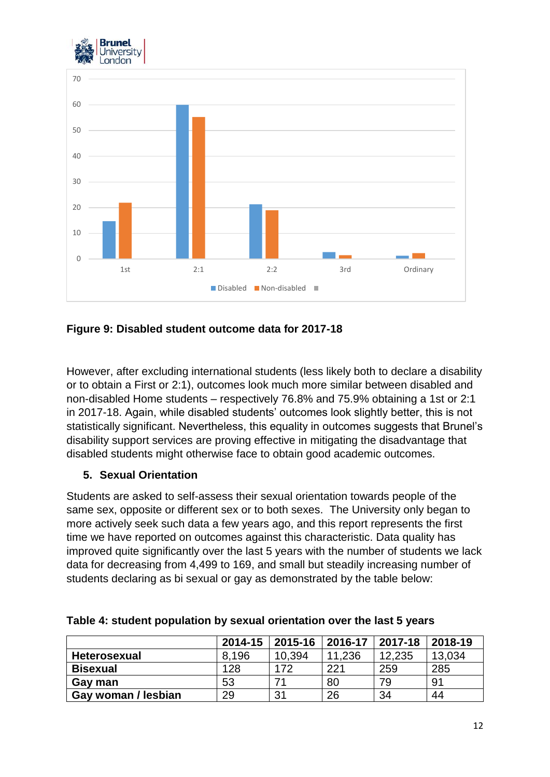



#### **Figure 9: Disabled student outcome data for 2017-18**

However, after excluding international students (less likely both to declare a disability or to obtain a First or 2:1), outcomes look much more similar between disabled and non-disabled Home students – respectively 76.8% and 75.9% obtaining a 1st or 2:1 in 2017-18. Again, while disabled students' outcomes look slightly better, this is not statistically significant. Nevertheless, this equality in outcomes suggests that Brunel's disability support services are proving effective in mitigating the disadvantage that disabled students might otherwise face to obtain good academic outcomes.

#### **5. Sexual Orientation**

Students are asked to self-assess their sexual orientation towards people of the same sex, opposite or different sex or to both sexes. The University only began to more actively seek such data a few years ago, and this report represents the first time we have reported on outcomes against this characteristic. Data quality has improved quite significantly over the last 5 years with the number of students we lack data for decreasing from 4,499 to 169, and small but steadily increasing number of students declaring as bi sexual or gay as demonstrated by the table below:

|                     | 2014-15 | 2015-16 | 2016-17 | 2017-18 | 2018-19 |
|---------------------|---------|---------|---------|---------|---------|
| <b>Heterosexual</b> | 8.196   | 10,394  | 11,236  | 12,235  | 13,034  |
| <b>Bisexual</b>     | 128     | 172     | 221     | 259     | 285     |
| Gay man             | 53      | -71     | 80      | 79      | 91      |
| Gay woman / lesbian | 29      | 31      | 26      | 34      | 44      |

**Table 4: student population by sexual orientation over the last 5 years**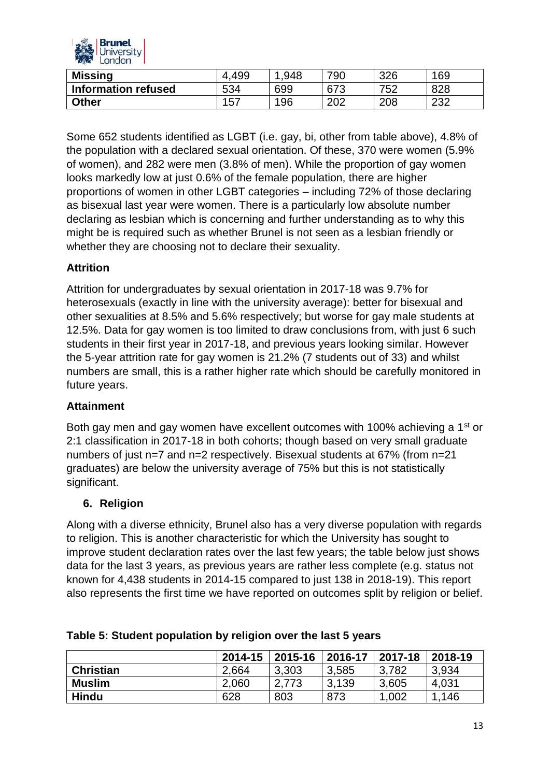

| <b>Missing</b>             | 499<br>4 | .948 | 790 | 326 | 169        |
|----------------------------|----------|------|-----|-----|------------|
| <b>Information refused</b> | 534      | 699  | 673 | 752 | 828        |
| Other                      | 157      | 196  | 202 | 208 | റററ<br>∠د∠ |

Some 652 students identified as LGBT (i.e. gay, bi, other from table above), 4.8% of the population with a declared sexual orientation. Of these, 370 were women (5.9% of women), and 282 were men (3.8% of men). While the proportion of gay women looks markedly low at just 0.6% of the female population, there are higher proportions of women in other LGBT categories – including 72% of those declaring as bisexual last year were women. There is a particularly low absolute number declaring as lesbian which is concerning and further understanding as to why this might be is required such as whether Brunel is not seen as a lesbian friendly or whether they are choosing not to declare their sexuality.

## **Attrition**

Attrition for undergraduates by sexual orientation in 2017-18 was 9.7% for heterosexuals (exactly in line with the university average): better for bisexual and other sexualities at 8.5% and 5.6% respectively; but worse for gay male students at 12.5%. Data for gay women is too limited to draw conclusions from, with just 6 such students in their first year in 2017-18, and previous years looking similar. However the 5-year attrition rate for gay women is 21.2% (7 students out of 33) and whilst numbers are small, this is a rather higher rate which should be carefully monitored in future years.

## **Attainment**

Both gay men and gay women have excellent outcomes with 100% achieving a 1<sup>st</sup> or 2:1 classification in 2017-18 in both cohorts; though based on very small graduate numbers of just n=7 and n=2 respectively. Bisexual students at 67% (from n=21 graduates) are below the university average of 75% but this is not statistically significant.

#### **6. Religion**

Along with a diverse ethnicity, Brunel also has a very diverse population with regards to religion. This is another characteristic for which the University has sought to improve student declaration rates over the last few years; the table below just shows data for the last 3 years, as previous years are rather less complete (e.g. status not known for 4,438 students in 2014-15 compared to just 138 in 2018-19). This report also represents the first time we have reported on outcomes split by religion or belief.

|                  | 2014-15 | 2015-16 | 2016-17 | 2017-18 | 2018-19 |
|------------------|---------|---------|---------|---------|---------|
| <b>Christian</b> | 2,664   | 3,303   | 3,585   | 3,782   | 3,934   |
| <b>Muslim</b>    | 2,060   | 2,773   | 3.139   | 3,605   | 4,031   |
| <b>Hindu</b>     | 628     | 803     | 873     | 1,002   | .146    |

#### **Table 5: Student population by religion over the last 5 years**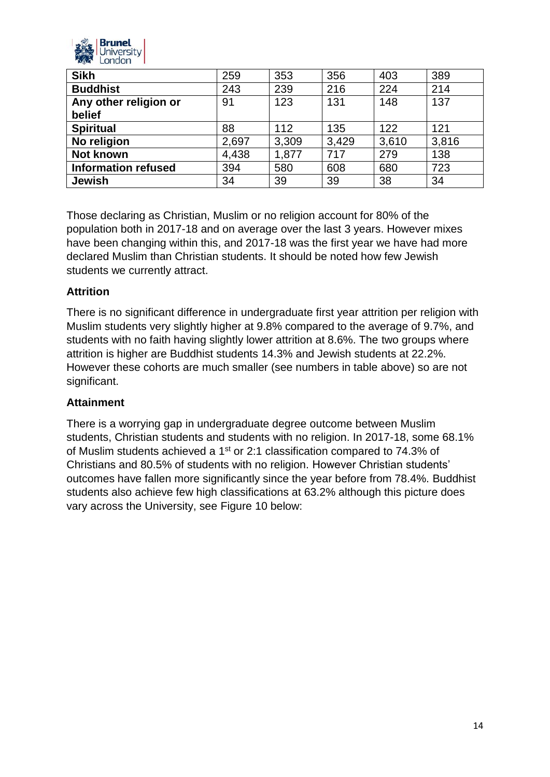

| <b>Sikh</b>                | 259   | 353   | 356   | 403   | 389   |
|----------------------------|-------|-------|-------|-------|-------|
| <b>Buddhist</b>            | 243   | 239   | 216   | 224   | 214   |
| Any other religion or      | 91    | 123   | 131   | 148   | 137   |
| belief                     |       |       |       |       |       |
| <b>Spiritual</b>           | 88    | 112   | 135   | 122   | 121   |
| No religion                | 2,697 | 3,309 | 3,429 | 3,610 | 3,816 |
| <b>Not known</b>           | 4,438 | 1,877 | 717   | 279   | 138   |
| <b>Information refused</b> | 394   | 580   | 608   | 680   | 723   |
| <b>Jewish</b>              | 34    | 39    | 39    | 38    | 34    |

Those declaring as Christian, Muslim or no religion account for 80% of the population both in 2017-18 and on average over the last 3 years. However mixes have been changing within this, and 2017-18 was the first year we have had more declared Muslim than Christian students. It should be noted how few Jewish students we currently attract.

## **Attrition**

There is no significant difference in undergraduate first year attrition per religion with Muslim students very slightly higher at 9.8% compared to the average of 9.7%, and students with no faith having slightly lower attrition at 8.6%. The two groups where attrition is higher are Buddhist students 14.3% and Jewish students at 22.2%. However these cohorts are much smaller (see numbers in table above) so are not significant.

## **Attainment**

There is a worrying gap in undergraduate degree outcome between Muslim students, Christian students and students with no religion. In 2017-18, some 68.1% of Muslim students achieved a 1st or 2:1 classification compared to 74.3% of Christians and 80.5% of students with no religion. However Christian students' outcomes have fallen more significantly since the year before from 78.4%. Buddhist students also achieve few high classifications at 63.2% although this picture does vary across the University, see Figure 10 below: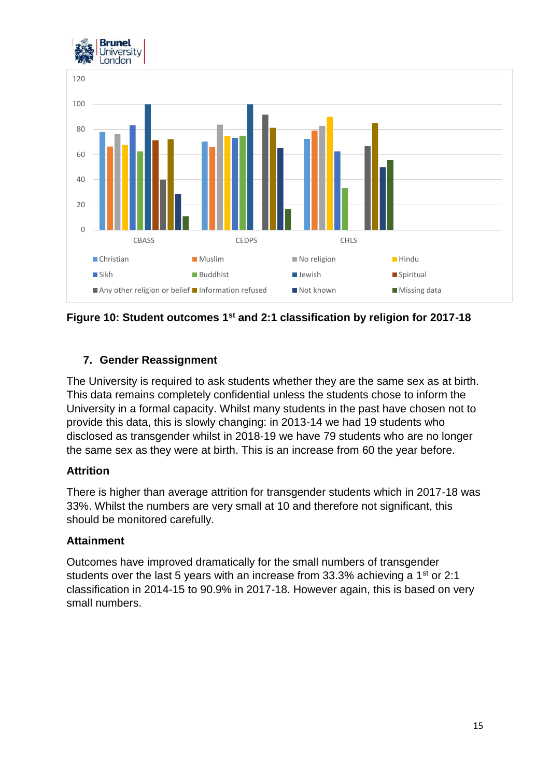



**Figure 10: Student outcomes 1st and 2:1 classification by religion for 2017-18**

# **7. Gender Reassignment**

The University is required to ask students whether they are the same sex as at birth. This data remains completely confidential unless the students chose to inform the University in a formal capacity. Whilst many students in the past have chosen not to provide this data, this is slowly changing: in 2013-14 we had 19 students who disclosed as transgender whilst in 2018-19 we have 79 students who are no longer the same sex as they were at birth. This is an increase from 60 the year before.

## **Attrition**

There is higher than average attrition for transgender students which in 2017-18 was 33%. Whilst the numbers are very small at 10 and therefore not significant, this should be monitored carefully.

## **Attainment**

Outcomes have improved dramatically for the small numbers of transgender students over the last 5 years with an increase from 33.3% achieving a 1<sup>st</sup> or 2:1 classification in 2014-15 to 90.9% in 2017-18. However again, this is based on very small numbers.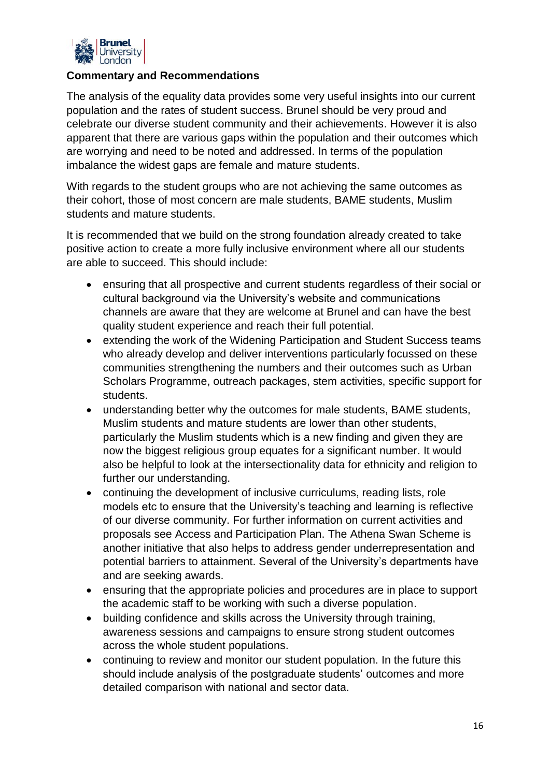

#### **Commentary and Recommendations**

The analysis of the equality data provides some very useful insights into our current population and the rates of student success. Brunel should be very proud and celebrate our diverse student community and their achievements. However it is also apparent that there are various gaps within the population and their outcomes which are worrying and need to be noted and addressed. In terms of the population imbalance the widest gaps are female and mature students.

With regards to the student groups who are not achieving the same outcomes as their cohort, those of most concern are male students, BAME students, Muslim students and mature students.

It is recommended that we build on the strong foundation already created to take positive action to create a more fully inclusive environment where all our students are able to succeed. This should include:

- ensuring that all prospective and current students regardless of their social or cultural background via the University's website and communications channels are aware that they are welcome at Brunel and can have the best quality student experience and reach their full potential.
- extending the work of the Widening Participation and Student Success teams who already develop and deliver interventions particularly focussed on these communities strengthening the numbers and their outcomes such as Urban Scholars Programme, outreach packages, stem activities, specific support for students.
- understanding better why the outcomes for male students, BAME students, Muslim students and mature students are lower than other students, particularly the Muslim students which is a new finding and given they are now the biggest religious group equates for a significant number. It would also be helpful to look at the intersectionality data for ethnicity and religion to further our understanding.
- continuing the development of inclusive curriculums, reading lists, role models etc to ensure that the University's teaching and learning is reflective of our diverse community. For further information on current activities and proposals see Access and Participation Plan. The Athena Swan Scheme is another initiative that also helps to address gender underrepresentation and potential barriers to attainment. Several of the University's departments have and are seeking awards.
- ensuring that the appropriate policies and procedures are in place to support the academic staff to be working with such a diverse population.
- building confidence and skills across the University through training, awareness sessions and campaigns to ensure strong student outcomes across the whole student populations.
- continuing to review and monitor our student population. In the future this should include analysis of the postgraduate students' outcomes and more detailed comparison with national and sector data.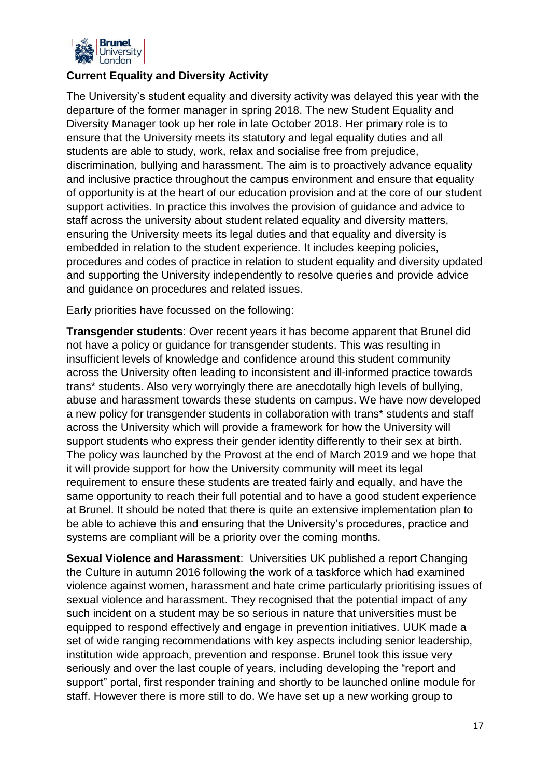

## **Current Equality and Diversity Activity**

The University's student equality and diversity activity was delayed this year with the departure of the former manager in spring 2018. The new Student Equality and Diversity Manager took up her role in late October 2018. Her primary role is to ensure that the University meets its statutory and legal equality duties and all students are able to study, work, relax and socialise free from prejudice, discrimination, bullying and harassment. The aim is to proactively advance equality and inclusive practice throughout the campus environment and ensure that equality of opportunity is at the heart of our education provision and at the core of our student support activities. In practice this involves the provision of guidance and advice to staff across the university about student related equality and diversity matters, ensuring the University meets its legal duties and that equality and diversity is embedded in relation to the student experience. It includes keeping policies, procedures and codes of practice in relation to student equality and diversity updated and supporting the University independently to resolve queries and provide advice and guidance on procedures and related issues.

Early priorities have focussed on the following:

**Transgender students**: Over recent years it has become apparent that Brunel did not have a policy or guidance for transgender students. This was resulting in insufficient levels of knowledge and confidence around this student community across the University often leading to inconsistent and ill-informed practice towards trans\* students. Also very worryingly there are anecdotally high levels of bullying, abuse and harassment towards these students on campus. We have now developed a new policy for transgender students in collaboration with trans\* students and staff across the University which will provide a framework for how the University will support students who express their gender identity differently to their sex at birth. The policy was launched by the Provost at the end of March 2019 and we hope that it will provide support for how the University community will meet its legal requirement to ensure these students are treated fairly and equally, and have the same opportunity to reach their full potential and to have a good student experience at Brunel. It should be noted that there is quite an extensive implementation plan to be able to achieve this and ensuring that the University's procedures, practice and systems are compliant will be a priority over the coming months.

**Sexual Violence and Harassment**: Universities UK published a report Changing the Culture in autumn 2016 following the work of a taskforce which had examined violence against women, harassment and hate crime particularly prioritising issues of sexual violence and harassment. They recognised that the potential impact of any such incident on a student may be so serious in nature that universities must be equipped to respond effectively and engage in prevention initiatives. UUK made a set of wide ranging recommendations with key aspects including senior leadership, institution wide approach, prevention and response. Brunel took this issue very seriously and over the last couple of years, including developing the "report and support" portal, first responder training and shortly to be launched online module for staff. However there is more still to do. We have set up a new working group to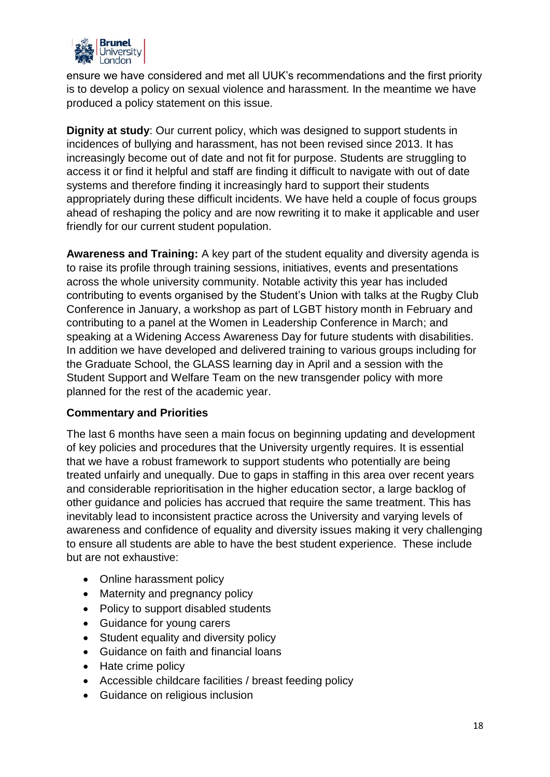

ensure we have considered and met all UUK's recommendations and the first priority is to develop a policy on sexual violence and harassment. In the meantime we have produced a policy statement on this issue.

**Dignity at study**: Our current policy, which was designed to support students in incidences of bullying and harassment, has not been revised since 2013. It has increasingly become out of date and not fit for purpose. Students are struggling to access it or find it helpful and staff are finding it difficult to navigate with out of date systems and therefore finding it increasingly hard to support their students appropriately during these difficult incidents. We have held a couple of focus groups ahead of reshaping the policy and are now rewriting it to make it applicable and user friendly for our current student population.

**Awareness and Training:** A key part of the student equality and diversity agenda is to raise its profile through training sessions, initiatives, events and presentations across the whole university community. Notable activity this year has included contributing to events organised by the Student's Union with talks at the Rugby Club Conference in January, a workshop as part of LGBT history month in February and contributing to a panel at the Women in Leadership Conference in March; and speaking at a Widening Access Awareness Day for future students with disabilities. In addition we have developed and delivered training to various groups including for the Graduate School, the GLASS learning day in April and a session with the Student Support and Welfare Team on the new transgender policy with more planned for the rest of the academic year.

## **Commentary and Priorities**

The last 6 months have seen a main focus on beginning updating and development of key policies and procedures that the University urgently requires. It is essential that we have a robust framework to support students who potentially are being treated unfairly and unequally. Due to gaps in staffing in this area over recent years and considerable reprioritisation in the higher education sector, a large backlog of other guidance and policies has accrued that require the same treatment. This has inevitably lead to inconsistent practice across the University and varying levels of awareness and confidence of equality and diversity issues making it very challenging to ensure all students are able to have the best student experience. These include but are not exhaustive:

- Online harassment policy
- Maternity and pregnancy policy
- Policy to support disabled students
- Guidance for young carers
- Student equality and diversity policy
- Guidance on faith and financial loans
- Hate crime policy
- Accessible childcare facilities / breast feeding policy
- Guidance on religious inclusion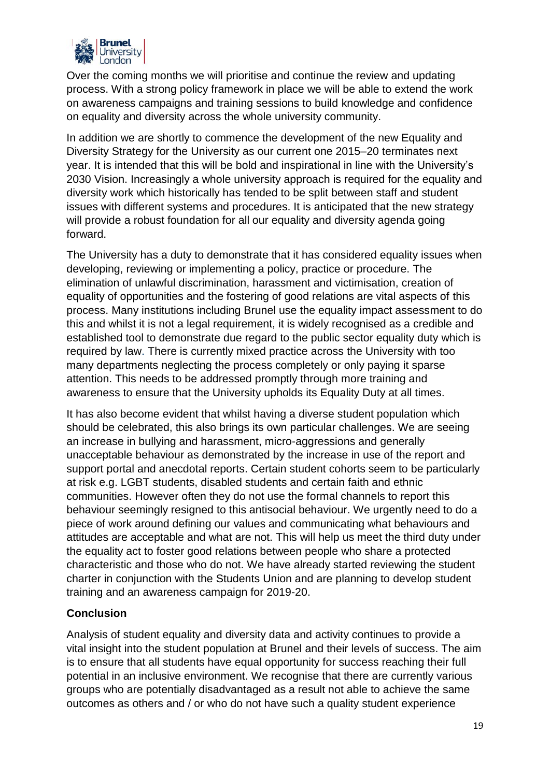

Over the coming months we will prioritise and continue the review and updating process. With a strong policy framework in place we will be able to extend the work on awareness campaigns and training sessions to build knowledge and confidence on equality and diversity across the whole university community.

In addition we are shortly to commence the development of the new Equality and Diversity Strategy for the University as our current one 2015–20 terminates next year. It is intended that this will be bold and inspirational in line with the University's 2030 Vision. Increasingly a whole university approach is required for the equality and diversity work which historically has tended to be split between staff and student issues with different systems and procedures. It is anticipated that the new strategy will provide a robust foundation for all our equality and diversity agenda going forward.

The University has a duty to demonstrate that it has considered equality issues when developing, reviewing or implementing a policy, practice or procedure. The elimination of unlawful discrimination, harassment and victimisation, creation of equality of opportunities and the fostering of good relations are vital aspects of this process. Many institutions including Brunel use the equality impact assessment to do this and whilst it is not a legal requirement, it is widely recognised as a credible and established tool to demonstrate due regard to the public sector equality duty which is required by law. There is currently mixed practice across the University with too many departments neglecting the process completely or only paying it sparse attention. This needs to be addressed promptly through more training and awareness to ensure that the University upholds its Equality Duty at all times.

It has also become evident that whilst having a diverse student population which should be celebrated, this also brings its own particular challenges. We are seeing an increase in bullying and harassment, micro-aggressions and generally unacceptable behaviour as demonstrated by the increase in use of the report and support portal and anecdotal reports. Certain student cohorts seem to be particularly at risk e.g. LGBT students, disabled students and certain faith and ethnic communities. However often they do not use the formal channels to report this behaviour seemingly resigned to this antisocial behaviour. We urgently need to do a piece of work around defining our values and communicating what behaviours and attitudes are acceptable and what are not. This will help us meet the third duty under the equality act to foster good relations between people who share a protected characteristic and those who do not. We have already started reviewing the student charter in conjunction with the Students Union and are planning to develop student training and an awareness campaign for 2019-20.

## **Conclusion**

Analysis of student equality and diversity data and activity continues to provide a vital insight into the student population at Brunel and their levels of success. The aim is to ensure that all students have equal opportunity for success reaching their full potential in an inclusive environment. We recognise that there are currently various groups who are potentially disadvantaged as a result not able to achieve the same outcomes as others and / or who do not have such a quality student experience